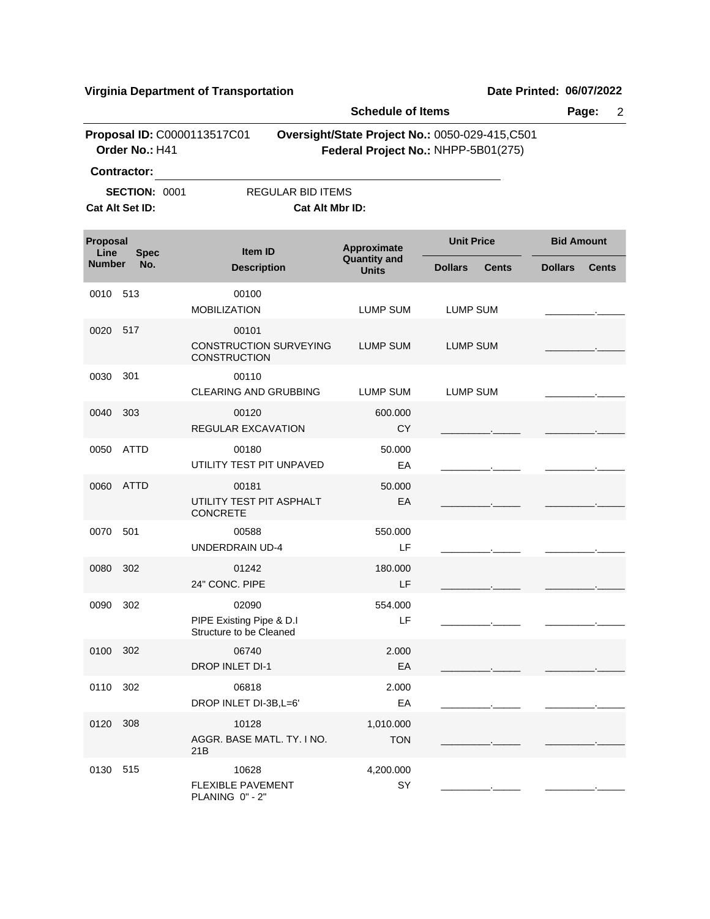|                  |                                            |                                                               | <b>Schedule of Items</b>            |                                                                                       |                   | Page:<br>$\overline{2}$ |
|------------------|--------------------------------------------|---------------------------------------------------------------|-------------------------------------|---------------------------------------------------------------------------------------|-------------------|-------------------------|
|                  | Order No.: H41                             | Proposal ID: C0000113517C01                                   |                                     | Oversight/State Project No.: 0050-029-415,C501<br>Federal Project No.: NHPP-5B01(275) |                   |                         |
|                  | <b>Contractor:</b><br><b>SECTION: 0001</b> | <b>REGULAR BID ITEMS</b>                                      |                                     |                                                                                       |                   |                         |
|                  | Cat Alt Set ID:                            | Cat Alt Mbr ID:                                               |                                     |                                                                                       |                   |                         |
| Proposal<br>Line | <b>Spec</b>                                | <b>Item ID</b>                                                | Approximate                         | <b>Unit Price</b>                                                                     | <b>Bid Amount</b> |                         |
| <b>Number</b>    | No.                                        | <b>Description</b>                                            | <b>Quantity and</b><br><b>Units</b> | <b>Dollars</b><br><b>Cents</b>                                                        | <b>Dollars</b>    | <b>Cents</b>            |
| 0010             | 513                                        | 00100<br><b>MOBILIZATION</b>                                  | LUMP SUM                            | LUMP SUM                                                                              |                   |                         |
| 0020             | 517                                        | 00101<br><b>CONSTRUCTION SURVEYING</b><br><b>CONSTRUCTION</b> | LUMP SUM                            | <b>LUMP SUM</b>                                                                       |                   |                         |
| 0030             | 301                                        | 00110<br>CLEARING AND GRUBBING                                | <b>LUMP SUM</b>                     | <b>LUMP SUM</b>                                                                       |                   |                         |
| 0040             | 303                                        | 00120<br>REGULAR EXCAVATION                                   | 600.000<br>CY                       |                                                                                       |                   |                         |
| 0050             | <b>ATTD</b>                                | 00180<br>UTILITY TEST PIT UNPAVED                             | 50.000<br>EA                        |                                                                                       |                   |                         |
| 0060             | <b>ATTD</b>                                | 00181<br>UTILITY TEST PIT ASPHALT<br><b>CONCRETE</b>          | 50.000<br>EA                        |                                                                                       |                   |                         |
| 0070             | 501                                        | 00588<br><b>UNDERDRAIN UD-4</b>                               | 550.000<br>LF                       |                                                                                       |                   |                         |
| 0080             | 302                                        | 01242<br>24" CONC. PIPE                                       | 180,000<br>LF                       |                                                                                       |                   |                         |
| 0090             | 302                                        | 02090<br>PIPE Existing Pipe & D.I<br>Structure to be Cleaned  | 554.000<br>-LF                      |                                                                                       |                   |                         |
| 0100 302         |                                            | 06740<br><b>DROP INLET DI-1</b>                               | 2.000<br>EA                         |                                                                                       |                   |                         |
| 0110             | 302                                        | 06818<br>DROP INLET DI-3B, L=6'                               | 2.000<br>EA                         |                                                                                       |                   |                         |
| 0120             | 308                                        | 10128<br>AGGR. BASE MATL. TY. I NO.<br>21B                    | 1,010.000<br><b>TON</b>             |                                                                                       |                   |                         |
| 0130 515         |                                            | 10628<br>FLEXIBLE PAVEMENT<br>PLANING 0" - 2"                 | 4,200.000<br>SY                     |                                                                                       |                   |                         |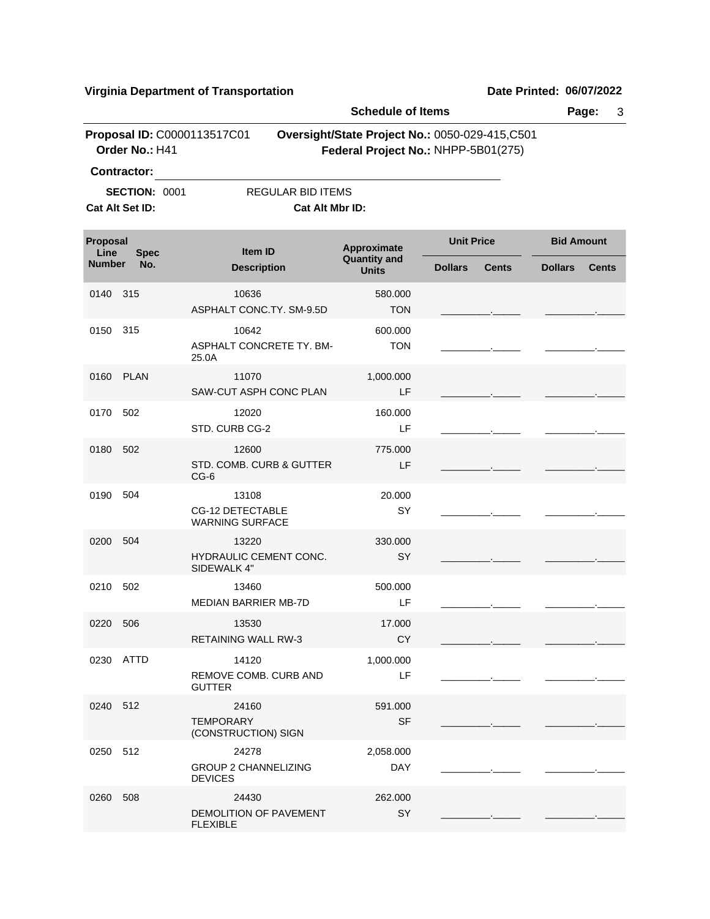| <b>Schedule of Items</b> |                                         |                                                            |                                             |                                                                                       |                   |              |                   | Page:<br>3   |
|--------------------------|-----------------------------------------|------------------------------------------------------------|---------------------------------------------|---------------------------------------------------------------------------------------|-------------------|--------------|-------------------|--------------|
|                          | Order No.: H41<br><b>Contractor:</b>    | Proposal ID: C0000113517C01                                |                                             | Oversight/State Project No.: 0050-029-415,C501<br>Federal Project No.: NHPP-5B01(275) |                   |              |                   |              |
|                          | <b>SECTION: 0001</b><br>Cat Alt Set ID: |                                                            | <b>REGULAR BID ITEMS</b><br>Cat Alt Mbr ID: |                                                                                       |                   |              |                   |              |
| Proposal<br>Line         | <b>Spec</b>                             | <b>Item ID</b>                                             |                                             | Approximate                                                                           | <b>Unit Price</b> |              | <b>Bid Amount</b> |              |
| <b>Number</b>            | No.                                     | <b>Description</b>                                         |                                             | <b>Quantity and</b><br><b>Units</b>                                                   | <b>Dollars</b>    | <b>Cents</b> | <b>Dollars</b>    | <b>Cents</b> |
| 0140                     | 315                                     | 10636                                                      | ASPHALT CONC.TY. SM-9.5D                    | 580.000<br><b>TON</b>                                                                 |                   |              |                   |              |
| 0150                     | 315                                     | 10642<br>25.0A                                             | ASPHALT CONCRETE TY. BM-                    | 600.000<br><b>TON</b>                                                                 |                   |              |                   |              |
| 0160                     | <b>PLAN</b>                             | 11070                                                      | SAW-CUT ASPH CONC PLAN                      | 1,000.000<br>LF                                                                       |                   |              |                   |              |
| 0170                     | 502                                     | 12020<br>STD. CURB CG-2                                    |                                             | 160.000<br>LF                                                                         |                   |              |                   |              |
| 0180                     | 502                                     | 12600<br>$CG-6$                                            | STD. COMB. CURB & GUTTER                    | 775,000<br>LF                                                                         |                   |              |                   |              |
| 0190                     | 504                                     | 13108<br><b>CG-12 DETECTABLE</b><br><b>WARNING SURFACE</b> |                                             | 20.000<br>SY                                                                          |                   |              |                   |              |
| 0200                     | 504                                     | 13220<br>HYDRAULIC CEMENT CONC.<br>SIDEWALK 4"             |                                             | 330.000<br>SY                                                                         |                   |              |                   |              |
| 0210                     | 502                                     | 13460<br><b>MEDIAN BARRIER MB-7D</b>                       |                                             | 500.000<br>LF                                                                         |                   |              |                   |              |
| 0220 506                 |                                         | 13530<br><b>RETAINING WALL RW-3</b>                        |                                             | 17.000<br><b>CY</b>                                                                   |                   |              |                   |              |
|                          | 0230 ATTD                               | 14120<br>REMOVE COMB. CURB AND<br><b>GUTTER</b>            |                                             | 1,000.000<br>LF                                                                       |                   |              |                   |              |
| 0240 512                 |                                         | 24160<br><b>TEMPORARY</b><br>(CONSTRUCTION) SIGN           |                                             | 591.000<br><b>SF</b>                                                                  |                   |              |                   |              |
| 0250 512                 |                                         | 24278<br><b>GROUP 2 CHANNELIZING</b><br><b>DEVICES</b>     |                                             | 2,058.000<br><b>DAY</b>                                                               |                   |              |                   |              |
| 0260 508                 |                                         | 24430<br>DEMOLITION OF PAVEMENT<br><b>FLEXIBLE</b>         |                                             | 262.000<br>SY                                                                         |                   |              |                   |              |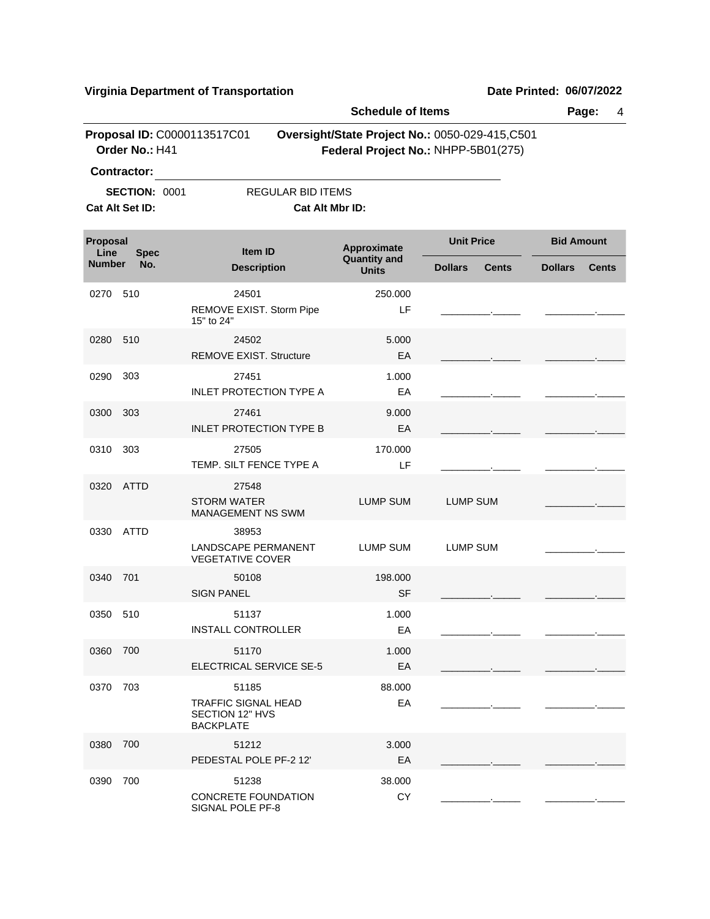|                  |                                                               |                                                                                   | <b>Schedule of Items</b>            |                                                                                       |                   |              |
|------------------|---------------------------------------------------------------|-----------------------------------------------------------------------------------|-------------------------------------|---------------------------------------------------------------------------------------|-------------------|--------------|
|                  | Order No.: H41                                                | Proposal ID: C0000113517C01                                                       |                                     | Oversight/State Project No.: 0050-029-415,C501<br>Federal Project No.: NHPP-5B01(275) |                   |              |
|                  | <b>Contractor:</b><br><b>SECTION: 0001</b><br>Cat Alt Set ID: | REGULAR BID ITEMS<br>Cat Alt Mbr ID:                                              |                                     |                                                                                       |                   |              |
| Proposal<br>Line | <b>Spec</b>                                                   | Item ID                                                                           | Approximate                         | <b>Unit Price</b>                                                                     | <b>Bid Amount</b> |              |
| <b>Number</b>    | No.                                                           | <b>Description</b>                                                                | <b>Quantity and</b><br><b>Units</b> | <b>Dollars</b><br>Cents                                                               | <b>Dollars</b>    | <b>Cents</b> |
| 0270             | 510                                                           | 24501<br>REMOVE EXIST. Storm Pipe<br>15" to 24"                                   | 250.000<br>LF                       |                                                                                       |                   |              |
| 0280             | 510                                                           | 24502<br><b>REMOVE EXIST. Structure</b>                                           | 5.000<br>EA                         |                                                                                       |                   |              |
| 0290             | 303                                                           | 27451<br><b>INLET PROTECTION TYPE A</b>                                           | 1.000<br>EA                         |                                                                                       |                   |              |
| 0300             | 303                                                           | 27461<br><b>INLET PROTECTION TYPE B</b>                                           | 9.000<br>EA                         |                                                                                       |                   |              |
| 0310             | 303                                                           | 27505<br>TEMP. SILT FENCE TYPE A                                                  | 170,000<br>LF                       |                                                                                       |                   |              |
| 0320             | ATTD                                                          | 27548<br><b>STORM WATER</b><br><b>MANAGEMENT NS SWM</b>                           | <b>LUMP SUM</b>                     | <b>LUMP SUM</b>                                                                       |                   |              |
| 0330             | <b>ATTD</b>                                                   | 38953<br>LANDSCAPE PERMANENT<br><b>VEGETATIVE COVER</b>                           | <b>LUMP SUM</b>                     | <b>LUMP SUM</b>                                                                       |                   |              |
| 0340             | 701                                                           | 50108<br><b>SIGN PANEL</b>                                                        | 198,000<br><b>SF</b>                |                                                                                       |                   |              |
| 0350             | 510                                                           | 51137<br><b>INSTALL CONTROLLER</b>                                                | 1.000<br>EA                         |                                                                                       |                   |              |
| 0360             | 700                                                           | 51170<br>ELECTRICAL SERVICE SE-5                                                  | 1.000<br>EA                         |                                                                                       |                   |              |
| 0370             | 703                                                           | 51185<br><b>TRAFFIC SIGNAL HEAD</b><br><b>SECTION 12" HVS</b><br><b>BACKPLATE</b> | 88.000<br>EA                        |                                                                                       |                   |              |
| 0380             | 700                                                           | 51212<br>PEDESTAL POLE PF-2 12'                                                   | 3.000<br>EA                         |                                                                                       |                   |              |
| 0390             | 700                                                           | 51238<br><b>CONCRETE FOUNDATION</b><br>SIGNAL POLE PF-8                           | 38.000<br>CY                        |                                                                                       |                   |              |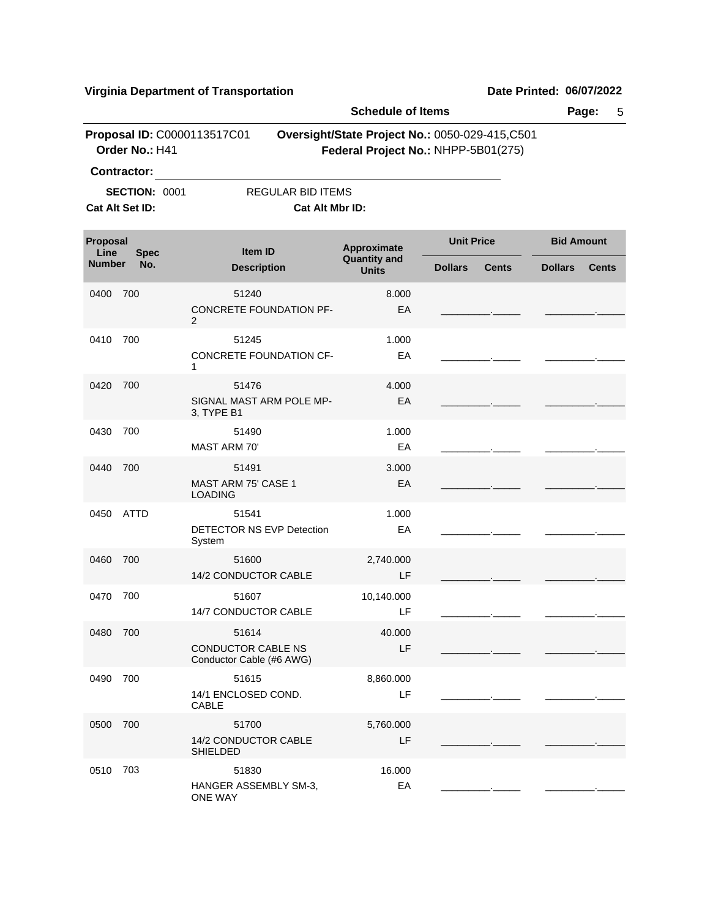|                  | 9                                             |                                                       |                                     |                                                                                       |                                |
|------------------|-----------------------------------------------|-------------------------------------------------------|-------------------------------------|---------------------------------------------------------------------------------------|--------------------------------|
|                  | Page:<br>5                                    |                                                       |                                     |                                                                                       |                                |
|                  | Proposal ID: C0000113517C01<br>Order No.: H41 |                                                       |                                     | Oversight/State Project No.: 0050-029-415,C501<br>Federal Project No.: NHPP-5B01(275) |                                |
|                  | <b>Contractor:</b>                            |                                                       |                                     |                                                                                       |                                |
|                  | <b>SECTION: 0001</b>                          | <b>REGULAR BID ITEMS</b>                              |                                     |                                                                                       |                                |
|                  | Cat Alt Set ID:                               | Cat Alt Mbr ID:                                       |                                     |                                                                                       |                                |
| Proposal<br>Line | <b>Spec</b>                                   | Item ID                                               | Approximate                         | <b>Unit Price</b>                                                                     | <b>Bid Amount</b>              |
| <b>Number</b>    | No.                                           | <b>Description</b>                                    | <b>Quantity and</b><br><b>Units</b> | <b>Dollars</b><br><b>Cents</b>                                                        | <b>Dollars</b><br><b>Cents</b> |
| 0400             | 700                                           | 51240<br>CONCRETE FOUNDATION PF-                      | 8.000<br>EA                         |                                                                                       |                                |
|                  |                                               | 2                                                     |                                     |                                                                                       |                                |
| 0410             | 700                                           | 51245<br>CONCRETE FOUNDATION CF-                      | 1.000<br>EA                         |                                                                                       |                                |
|                  |                                               | 1                                                     |                                     |                                                                                       |                                |
| 0420             | 700                                           | 51476                                                 | 4.000                               |                                                                                       |                                |
|                  |                                               | SIGNAL MAST ARM POLE MP-<br>3, TYPE B1                | EA                                  |                                                                                       |                                |
| 0430             | 700                                           | 51490                                                 | 1.000                               |                                                                                       |                                |
|                  |                                               | MAST ARM 70'                                          | EA                                  |                                                                                       |                                |
| 0440             | 700                                           | 51491<br>MAST ARM 75' CASE 1<br><b>LOADING</b>        | 3.000<br>EA                         |                                                                                       |                                |
| 0450             | <b>ATTD</b>                                   | 51541                                                 | 1.000                               |                                                                                       |                                |
|                  |                                               | DETECTOR NS EVP Detection<br>System                   | EA                                  |                                                                                       |                                |
| 0460             | 700                                           | 51600                                                 | 2,740.000                           |                                                                                       |                                |
|                  |                                               | 14/2 CONDUCTOR CABLE                                  | LF                                  |                                                                                       |                                |
| 0470             | 700                                           | 51607<br>14/7 CONDUCTOR CABLE                         | 10,140.000<br>LF                    |                                                                                       |                                |
| 0480             | 700                                           | 51614                                                 | 40.000                              |                                                                                       |                                |
|                  |                                               | <b>CONDUCTOR CABLE NS</b><br>Conductor Cable (#6 AWG) | LF                                  |                                                                                       |                                |
| 0490             | 700                                           | 51615                                                 | 8,860.000                           |                                                                                       |                                |
|                  |                                               | 14/1 ENCLOSED COND.<br><b>CABLE</b>                   | LF                                  |                                                                                       |                                |
| 0500             | 700                                           | 51700                                                 | 5,760.000                           |                                                                                       |                                |
|                  |                                               | 14/2 CONDUCTOR CABLE<br>SHIELDED                      | LF                                  |                                                                                       |                                |

0510 51830 703HANGER ASSEMBLY SM-3, EA 16.000 \_\_\_\_\_\_\_\_\_.\_\_\_\_\_ \_\_\_\_\_\_\_\_\_.\_\_\_\_\_

## ONE WAY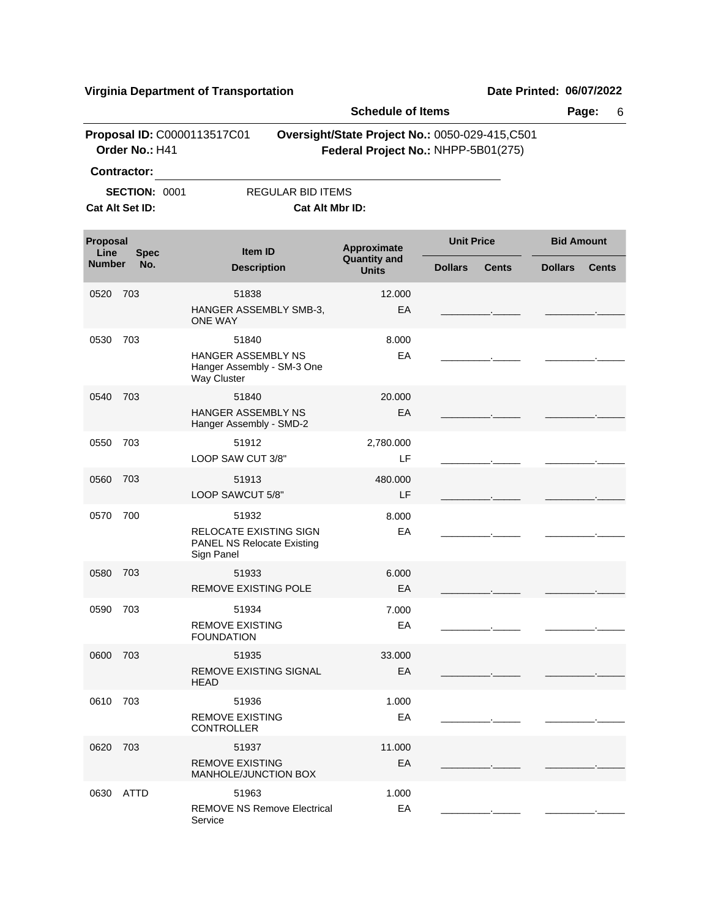Service

\_\_\_\_\_\_\_\_\_.\_\_\_\_\_ \_\_\_\_\_\_\_\_\_.\_\_\_\_\_

|                  |                      |                                                                                  | <b>Schedule of Items</b>                                                              |                   |                   |                   | Page:<br>6   |  |  |
|------------------|----------------------|----------------------------------------------------------------------------------|---------------------------------------------------------------------------------------|-------------------|-------------------|-------------------|--------------|--|--|
|                  | Order No.: H41       | Proposal ID: C0000113517C01                                                      | Oversight/State Project No.: 0050-029-415,C501<br>Federal Project No.: NHPP-5B01(275) |                   |                   |                   |              |  |  |
|                  | <b>Contractor:</b>   |                                                                                  |                                                                                       |                   |                   |                   |              |  |  |
|                  | <b>SECTION: 0001</b> | <b>REGULAR BID ITEMS</b>                                                         |                                                                                       |                   |                   |                   |              |  |  |
|                  | Cat Alt Set ID:      | Cat Alt Mbr ID:                                                                  |                                                                                       |                   |                   |                   |              |  |  |
| Proposal<br>Line | <b>Spec</b>          | <b>Item ID</b>                                                                   | Approximate<br><b>Quantity and</b>                                                    | <b>Unit Price</b> |                   | <b>Bid Amount</b> |              |  |  |
| <b>Number</b>    | No.                  | <b>Description</b>                                                               | <b>Units</b>                                                                          | <b>Dollars</b>    | <b>Cents</b>      | <b>Dollars</b>    | <b>Cents</b> |  |  |
| 0520             | 703                  | 51838                                                                            | 12.000                                                                                |                   |                   |                   |              |  |  |
|                  |                      | HANGER ASSEMBLY SMB-3,<br><b>ONE WAY</b>                                         | EA                                                                                    |                   | <b>Contractor</b> |                   |              |  |  |
| 0530             | 703                  | 51840                                                                            | 8.000                                                                                 |                   |                   |                   |              |  |  |
|                  |                      | HANGER ASSEMBLY NS<br>Hanger Assembly - SM-3 One<br>Way Cluster                  | EA                                                                                    |                   |                   |                   |              |  |  |
| 0540             | 703                  | 51840                                                                            | 20.000                                                                                |                   |                   |                   |              |  |  |
|                  |                      | <b>HANGER ASSEMBLY NS</b><br>Hanger Assembly - SMD-2                             | EA                                                                                    |                   |                   |                   |              |  |  |
| 0550             | 703                  | 51912                                                                            | 2,780.000                                                                             |                   |                   |                   |              |  |  |
|                  |                      | LOOP SAW CUT 3/8"                                                                | LF                                                                                    |                   |                   |                   |              |  |  |
| 0560             | 703                  | 51913                                                                            | 480.000                                                                               |                   |                   |                   |              |  |  |
|                  |                      | LOOP SAWCUT 5/8"                                                                 | LF                                                                                    |                   |                   |                   |              |  |  |
| 0570             | 700                  | 51932                                                                            | 8.000                                                                                 |                   |                   |                   |              |  |  |
|                  |                      | <b>RELOCATE EXISTING SIGN</b><br><b>PANEL NS Relocate Existing</b><br>Sign Panel | EA                                                                                    |                   |                   |                   |              |  |  |
| 0580             | 703                  | 51933                                                                            | 6.000                                                                                 |                   |                   |                   |              |  |  |
|                  |                      | <b>REMOVE EXISTING POLE</b>                                                      | EA                                                                                    |                   |                   |                   |              |  |  |
| 0590             | 703                  | 51934                                                                            | 7.000                                                                                 |                   |                   |                   |              |  |  |
|                  |                      | <b>REMOVE EXISTING</b><br><b>FOUNDATION</b>                                      | EA                                                                                    |                   |                   |                   |              |  |  |
| 0600             | 703                  | 51935                                                                            | 33.000                                                                                |                   |                   |                   |              |  |  |
|                  |                      | <b>REMOVE EXISTING SIGNAL</b><br><b>HEAD</b>                                     | EA                                                                                    |                   |                   |                   |              |  |  |
| 0610             | 703                  | 51936                                                                            |                                                                                       |                   |                   |                   |              |  |  |
|                  |                      | <b>REMOVE EXISTING</b><br><b>CONTROLLER</b>                                      | 1.000<br>EA                                                                           |                   |                   |                   |              |  |  |
| 0620             | 703                  | 51937                                                                            | 11.000                                                                                |                   |                   |                   |              |  |  |
|                  |                      | <b>REMOVE EXISTING</b><br>MANHOLE/JUNCTION BOX                                   | EA                                                                                    |                   |                   |                   |              |  |  |
| 0630             | ATTD                 | 51963                                                                            | 1.000                                                                                 |                   |                   |                   |              |  |  |
|                  |                      | <b>REMOVE NS Remove Electrical</b>                                               | EA                                                                                    |                   |                   |                   |              |  |  |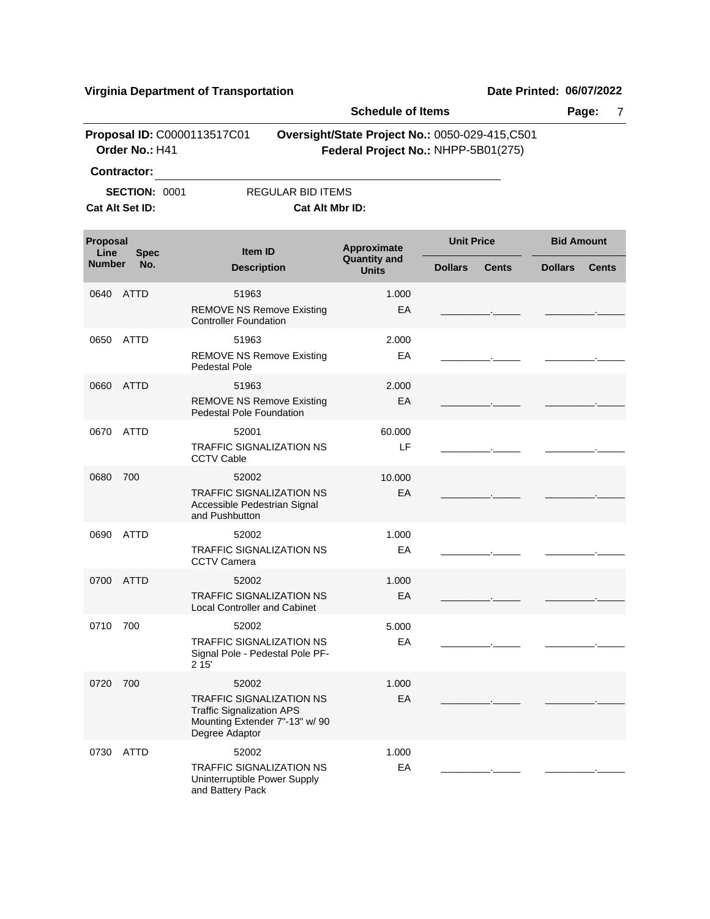|                  |                      |                                                                                                                         | <b>Schedule of Items</b>            |                                                                                       |                                |  |
|------------------|----------------------|-------------------------------------------------------------------------------------------------------------------------|-------------------------------------|---------------------------------------------------------------------------------------|--------------------------------|--|
|                  | Order No.: H41       | Proposal ID: C0000113517C01                                                                                             |                                     | Oversight/State Project No.: 0050-029-415,C501<br>Federal Project No.: NHPP-5B01(275) |                                |  |
|                  | <b>Contractor:</b>   |                                                                                                                         |                                     |                                                                                       |                                |  |
|                  | <b>SECTION: 0001</b> | REGULAR BID ITEMS                                                                                                       |                                     |                                                                                       |                                |  |
|                  | Cat Alt Set ID:      | Cat Alt Mbr ID:                                                                                                         |                                     |                                                                                       |                                |  |
| Proposal<br>Line | <b>Spec</b>          | Item ID                                                                                                                 | Approximate                         | <b>Unit Price</b>                                                                     | <b>Bid Amount</b>              |  |
| <b>Number</b>    | No.                  | <b>Description</b>                                                                                                      | <b>Quantity and</b><br><b>Units</b> | <b>Dollars</b><br><b>Cents</b>                                                        | <b>Dollars</b><br><b>Cents</b> |  |
| 0640             | ATTD                 | 51963                                                                                                                   | 1.000                               |                                                                                       |                                |  |
|                  |                      | <b>REMOVE NS Remove Existing</b><br><b>Controller Foundation</b>                                                        | EA                                  |                                                                                       |                                |  |
| 0650             | <b>ATTD</b>          | 51963                                                                                                                   | 2.000                               |                                                                                       |                                |  |
|                  |                      | <b>REMOVE NS Remove Existing</b><br>Pedestal Pole                                                                       | EA                                  |                                                                                       |                                |  |
| 0660             | <b>ATTD</b>          | 51963                                                                                                                   | 2.000                               |                                                                                       |                                |  |
|                  |                      | <b>REMOVE NS Remove Existing</b><br><b>Pedestal Pole Foundation</b>                                                     | EA                                  |                                                                                       |                                |  |
| 0670             | ATTD                 | 52001                                                                                                                   | 60.000                              |                                                                                       |                                |  |
|                  |                      | <b>TRAFFIC SIGNALIZATION NS</b><br><b>CCTV Cable</b>                                                                    | LF                                  |                                                                                       |                                |  |
| 0680             | 700                  | 52002                                                                                                                   | 10.000                              |                                                                                       |                                |  |
|                  |                      | <b>TRAFFIC SIGNALIZATION NS</b><br>Accessible Pedestrian Signal<br>and Pushbutton                                       | EA                                  |                                                                                       |                                |  |
| 0690             | <b>ATTD</b>          | 52002                                                                                                                   | 1.000                               |                                                                                       |                                |  |
|                  |                      | <b>TRAFFIC SIGNALIZATION NS</b><br><b>CCTV Camera</b>                                                                   | EA                                  |                                                                                       |                                |  |
| 0700             | ATTD                 | 52002                                                                                                                   | 1.000                               |                                                                                       |                                |  |
|                  |                      | <b>TRAFFIC SIGNALIZATION NS</b><br><b>Local Controller and Cabinet</b>                                                  | EA                                  |                                                                                       |                                |  |
| 0710 700         |                      | 52002                                                                                                                   | 5.000                               |                                                                                       |                                |  |
|                  |                      | <b>TRAFFIC SIGNALIZATION NS</b><br>Signal Pole - Pedestal Pole PF-<br>2 15'                                             | EA                                  |                                                                                       |                                |  |
| 0720 700         |                      | 52002                                                                                                                   | 1.000                               |                                                                                       |                                |  |
|                  |                      | <b>TRAFFIC SIGNALIZATION NS</b><br><b>Traffic Signalization APS</b><br>Mounting Extender 7"-13" w/ 90<br>Degree Adaptor | EA                                  |                                                                                       |                                |  |
| 0730             | <b>ATTD</b>          | 52002                                                                                                                   | 1.000                               |                                                                                       |                                |  |
|                  |                      | <b>TRAFFIC SIGNALIZATION NS</b><br>Uninterruptible Power Supply<br>and Battery Pack                                     | EA                                  |                                                                                       |                                |  |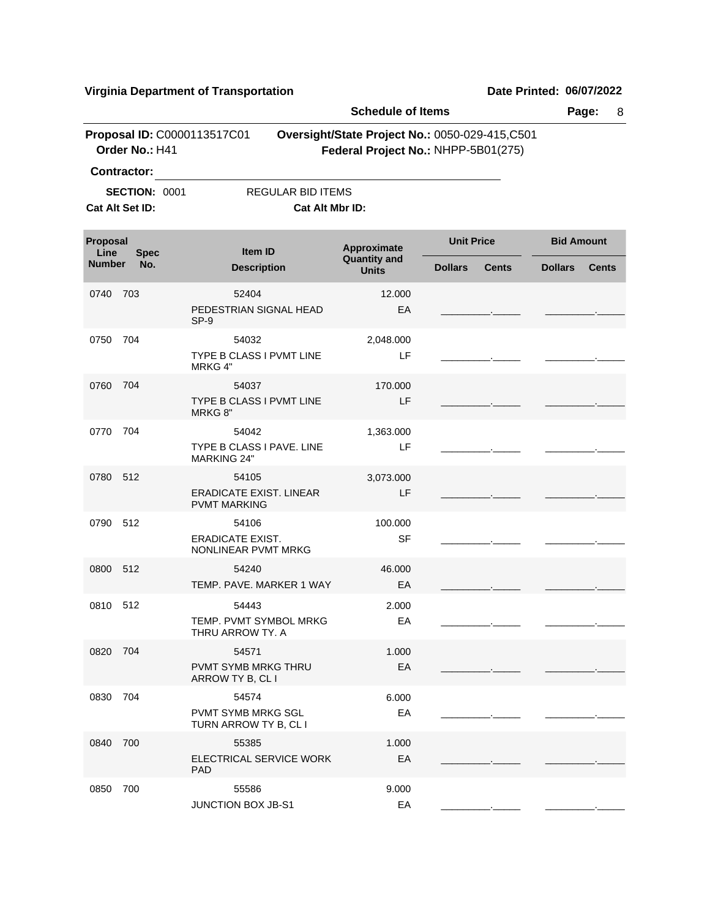\_\_\_\_\_\_\_\_\_.\_\_\_\_\_ \_\_\_\_\_\_\_\_\_.\_\_\_\_\_

|                  |                      |                                                                | <b>Schedule of Items</b>                                                              |                | Page:<br>8        |                   |              |
|------------------|----------------------|----------------------------------------------------------------|---------------------------------------------------------------------------------------|----------------|-------------------|-------------------|--------------|
|                  | Order No.: H41       | Proposal ID: C0000113517C01                                    | Oversight/State Project No.: 0050-029-415,C501<br>Federal Project No.: NHPP-5B01(275) |                |                   |                   |              |
|                  | <b>Contractor:</b>   |                                                                |                                                                                       |                |                   |                   |              |
|                  | <b>SECTION: 0001</b> |                                                                | <b>REGULAR BID ITEMS</b>                                                              |                |                   |                   |              |
|                  | Cat Alt Set ID:      |                                                                | Cat Alt Mbr ID:                                                                       |                |                   |                   |              |
| Proposal<br>Line | <b>Spec</b>          | Item ID                                                        | Approximate<br><b>Quantity and</b>                                                    |                | <b>Unit Price</b> | <b>Bid Amount</b> |              |
| <b>Number</b>    | No.                  | <b>Description</b>                                             | <b>Units</b>                                                                          | <b>Dollars</b> | <b>Cents</b>      | <b>Dollars</b>    | <b>Cents</b> |
| 0740             | 703                  | 52404<br>PEDESTRIAN SIGNAL HEAD<br>SP-9                        | 12.000                                                                                | EA             |                   |                   |              |
| 0750             | 704                  | 54032<br>TYPE B CLASS I PVMT LINE<br>MRKG 4"                   | 2,048.000                                                                             | LF             |                   |                   |              |
| 0760             | 704                  | 54037<br>TYPE B CLASS I PVMT LINE<br>MRKG 8"                   | 170.000                                                                               | LF             |                   |                   |              |
| 0770             | 704                  | 54042<br>TYPE B CLASS I PAVE. LINE<br><b>MARKING 24"</b>       | 1,363.000                                                                             | LF             |                   |                   |              |
| 0780             | 512                  | 54105<br><b>ERADICATE EXIST. LINEAR</b><br><b>PVMT MARKING</b> | 3,073.000                                                                             | LF             |                   |                   |              |
| 0790 512         |                      | 54106<br>ERADICATE EXIST.<br>NONLINEAR PVMT MRKG               | 100.000                                                                               | <b>SF</b>      |                   |                   |              |
| 0800             | 512                  | 54240<br>TEMP. PAVE. MARKER 1 WAY                              | 46.000                                                                                | EA             |                   |                   |              |
| 0810             | 512                  | 54443<br>TEMP. PVMT SYMBOL MRKG<br>THRU ARROW TY. A            | 2.000                                                                                 | EA             |                   |                   |              |
| 0820 704         |                      | 54571<br>PVMT SYMB MRKG THRU<br>ARROW TY B, CL I               | 1.000                                                                                 | EA             |                   |                   |              |
| 0830             | 704                  | 54574<br><b>PVMT SYMB MRKG SGL</b><br>TURN ARROW TY B, CL I    | 6.000                                                                                 | EA             |                   |                   |              |
| 0840             | 700                  | 55385<br>ELECTRICAL SERVICE WORK<br><b>PAD</b>                 | 1.000                                                                                 | EA             |                   |                   |              |
| 0850 700         |                      | 55586                                                          | 9.000                                                                                 |                |                   |                   |              |

JUNCTION BOX JB-S1 EA